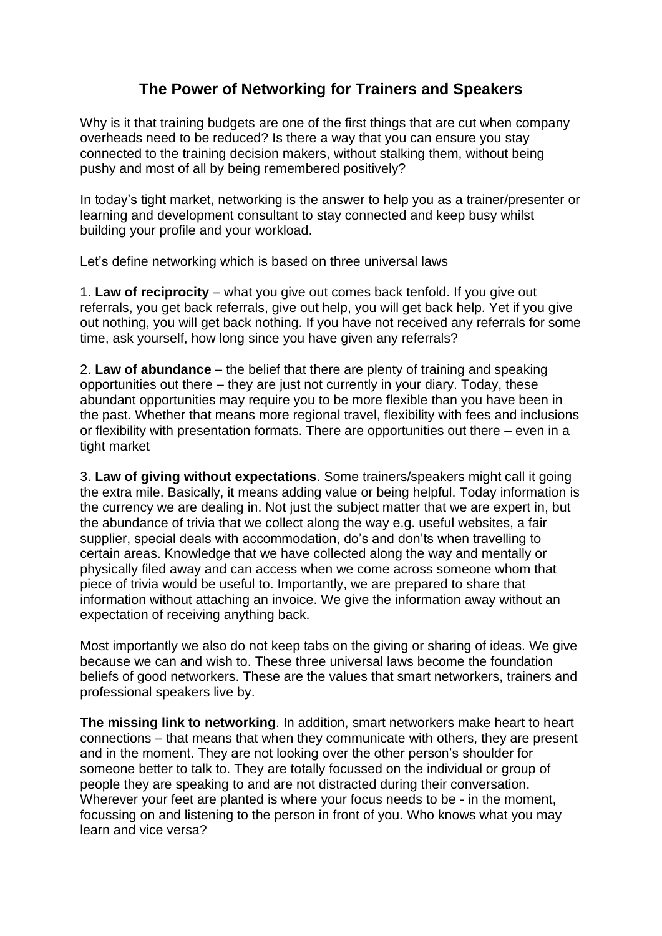## **The Power of Networking for Trainers and Speakers**

Why is it that training budgets are one of the first things that are cut when company overheads need to be reduced? Is there a way that you can ensure you stay connected to the training decision makers, without stalking them, without being pushy and most of all by being remembered positively?

In today's tight market, networking is the answer to help you as a trainer/presenter or learning and development consultant to stay connected and keep busy whilst building your profile and your workload.

Let's define networking which is based on three universal laws

1. **Law of reciprocity** – what you give out comes back tenfold. If you give out referrals, you get back referrals, give out help, you will get back help. Yet if you give out nothing, you will get back nothing. If you have not received any referrals for some time, ask yourself, how long since you have given any referrals?

2. **Law of abundance** – the belief that there are plenty of training and speaking opportunities out there – they are just not currently in your diary. Today, these abundant opportunities may require you to be more flexible than you have been in the past. Whether that means more regional travel, flexibility with fees and inclusions or flexibility with presentation formats. There are opportunities out there – even in a tight market

3. **Law of giving without expectations**. Some trainers/speakers might call it going the extra mile. Basically, it means adding value or being helpful. Today information is the currency we are dealing in. Not just the subject matter that we are expert in, but the abundance of trivia that we collect along the way e.g. useful websites, a fair supplier, special deals with accommodation, do's and don'ts when travelling to certain areas. Knowledge that we have collected along the way and mentally or physically filed away and can access when we come across someone whom that piece of trivia would be useful to. Importantly, we are prepared to share that information without attaching an invoice. We give the information away without an expectation of receiving anything back.

Most importantly we also do not keep tabs on the giving or sharing of ideas. We give because we can and wish to. These three universal laws become the foundation beliefs of good networkers. These are the values that smart networkers, trainers and professional speakers live by.

**The missing link to networking**. In addition, smart networkers make heart to heart connections – that means that when they communicate with others, they are present and in the moment. They are not looking over the other person's shoulder for someone better to talk to. They are totally focussed on the individual or group of people they are speaking to and are not distracted during their conversation. Wherever your feet are planted is where your focus needs to be - in the moment, focussing on and listening to the person in front of you. Who knows what you may learn and vice versa?